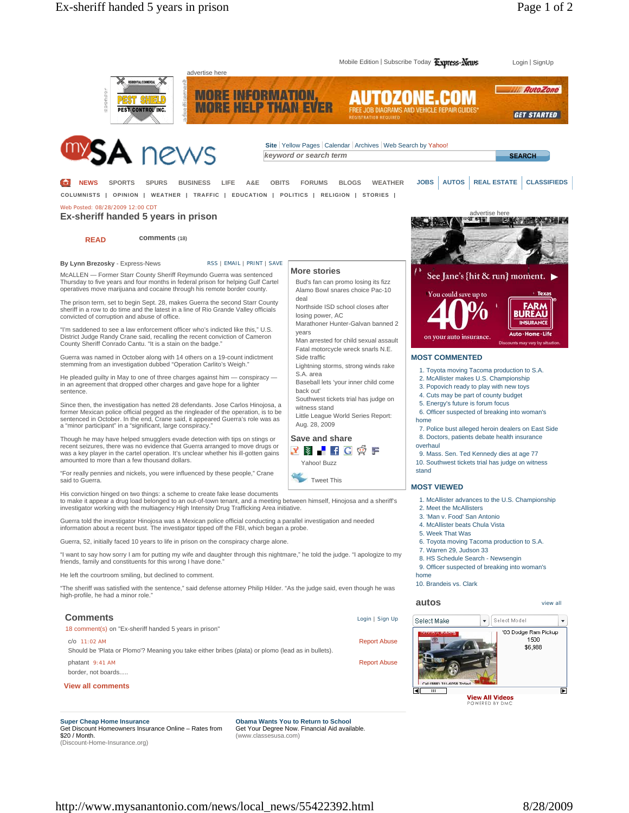

Get Discount Homeowners Insurance Online – Rates from \$20 / Month. (Discount-Home-Insurance.org)

Get Your Degree Now. Financial Aid available. (www.classesusa.com)